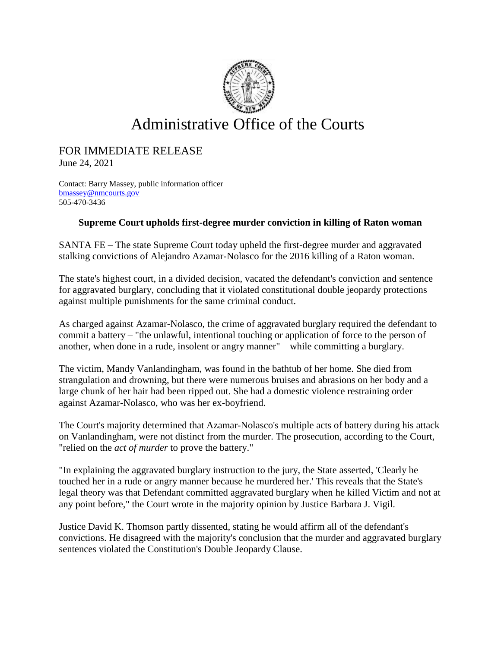

## Administrative Office of the Courts

## FOR IMMEDIATE RELEASE

June 24, 2021

Contact: Barry Massey, public information officer [bmassey@nmcourts.gov](mailto:bmassey@nmcourts.gov) 505-470-3436

## **Supreme Court upholds first-degree murder conviction in killing of Raton woman**

SANTA FE – The state Supreme Court today upheld the first-degree murder and aggravated stalking convictions of Alejandro Azamar-Nolasco for the 2016 killing of a Raton woman.

The state's highest court, in a divided decision, vacated the defendant's conviction and sentence for aggravated burglary, concluding that it violated constitutional double jeopardy protections against multiple punishments for the same criminal conduct.

As charged against Azamar-Nolasco, the crime of aggravated burglary required the defendant to commit a battery – "the unlawful, intentional touching or application of force to the person of another, when done in a rude, insolent or angry manner" – while committing a burglary.

The victim, Mandy Vanlandingham, was found in the bathtub of her home. She died from strangulation and drowning, but there were numerous bruises and abrasions on her body and a large chunk of her hair had been ripped out. She had a domestic violence restraining order against Azamar-Nolasco, who was her ex-boyfriend.

The Court's majority determined that Azamar-Nolasco's multiple acts of battery during his attack on Vanlandingham, were not distinct from the murder. The prosecution, according to the Court, "relied on the *act of murder* to prove the battery."

"In explaining the aggravated burglary instruction to the jury, the State asserted, 'Clearly he touched her in a rude or angry manner because he murdered her.' This reveals that the State's legal theory was that Defendant committed aggravated burglary when he killed Victim and not at any point before," the Court wrote in the majority opinion by Justice Barbara J. Vigil.

Justice David K. Thomson partly dissented, stating he would affirm all of the defendant's convictions. He disagreed with the majority's conclusion that the murder and aggravated burglary sentences violated the Constitution's Double Jeopardy Clause.